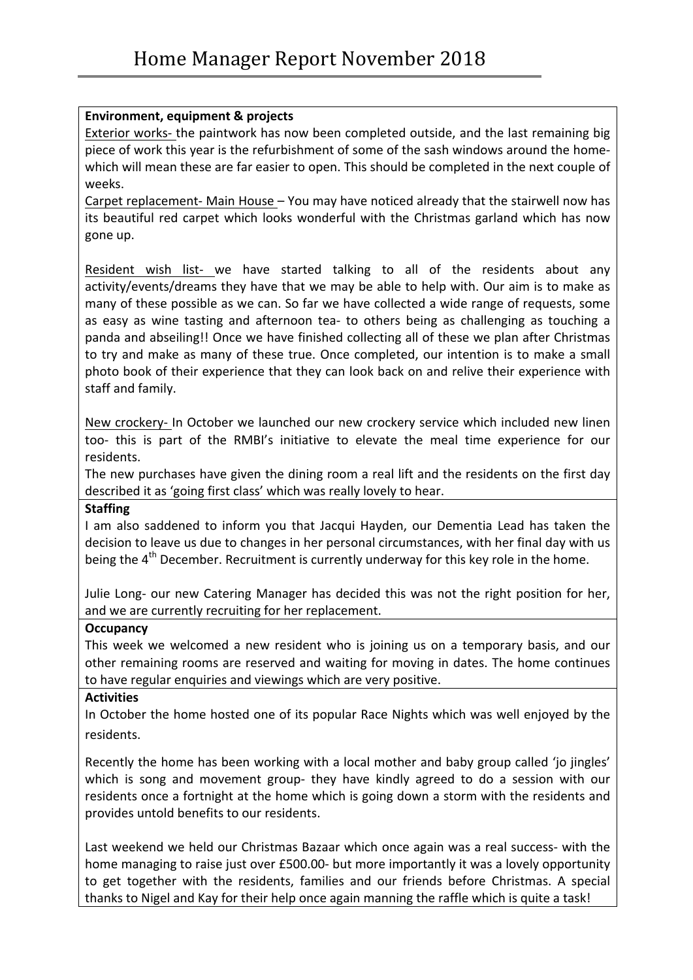# **Environment, equipment & projects**

Exterior works- the paintwork has now been completed outside, and the last remaining big piece of work this year is the refurbishment of some of the sash windows around the homewhich will mean these are far easier to open. This should be completed in the next couple of weeks. 

Carpet replacement- Main House  $-$  You may have noticed already that the stairwell now has its beautiful red carpet which looks wonderful with the Christmas garland which has now gone up.

Resident wish list- we have started talking to all of the residents about any activity/events/dreams they have that we may be able to help with. Our aim is to make as many of these possible as we can. So far we have collected a wide range of requests, some as easy as wine tasting and afternoon tea- to others being as challenging as touching a panda and abseiling!! Once we have finished collecting all of these we plan after Christmas to try and make as many of these true. Once completed, our intention is to make a small photo book of their experience that they can look back on and relive their experience with staff and family.

New crockery- In October we launched our new crockery service which included new linen too- this is part of the RMBI's initiative to elevate the meal time experience for our residents. 

The new purchases have given the dining room a real lift and the residents on the first day described it as 'going first class' which was really lovely to hear.

### **Staffing**

I am also saddened to inform you that Jacqui Hayden, our Dementia Lead has taken the decision to leave us due to changes in her personal circumstances, with her final day with us being the  $4<sup>th</sup>$  December. Recruitment is currently underway for this key role in the home.

Julie Long- our new Catering Manager has decided this was not the right position for her, and we are currently recruiting for her replacement.

### **Occupancy**

This week we welcomed a new resident who is joining us on a temporary basis, and our other remaining rooms are reserved and waiting for moving in dates. The home continues to have regular enquiries and viewings which are very positive.

#### **Activities**

In October the home hosted one of its popular Race Nights which was well enjoyed by the residents. 

Recently the home has been working with a local mother and baby group called 'jo jingles' which is song and movement group- they have kindly agreed to do a session with our residents once a fortnight at the home which is going down a storm with the residents and provides untold benefits to our residents.

Last weekend we held our Christmas Bazaar which once again was a real success- with the home managing to raise just over £500.00- but more importantly it was a lovely opportunity to get together with the residents, families and our friends before Christmas. A special thanks to Nigel and Kay for their help once again manning the raffle which is quite a task!